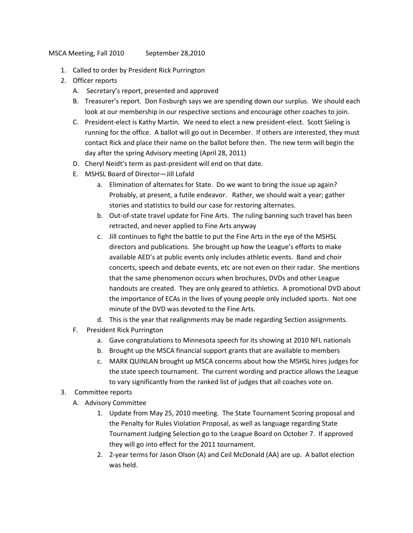MSCA Meeting, Fall 2010 September 28,2010

- 1. Called to order by President Rick Purrington
- 2. Officer reports
	- A. Secretary's report, presented and approved
	- B. Treasurer's report. Don Fosburgh says we are spending down our surplus. We should each look at our membership in our respective sections and encourage other coaches to join.
	- C. President-elect is Kathy Martin. We need to elect a new president-elect. Scott Sieling is running for the office. A ballot will go out in December. If others are interested, they must contact Rick and place their name on the ballot before then. The new term will begin the day after the spring Advisory meeting (April 28, 2011)
	- D. Cheryl Neidt's term as past-president will end on that date.
	- E. MSHSL Board of Director—Jill Lofald
		- a. Elimination of alternates for State. Do we want to bring the issue up again? Probably, at present, a futile endeavor. Rather, we should wait a year; gather stories and statistics to build our case for restoring alternates.
		- b. Out-of-state travel update for Fine Arts. The ruling banning such travel has been retracted, and never applied to Fine Arts anyway
		- c. Jill continues to fight the battle to put the Fine Arts in the eye of the MSHSL directors and publications. She brought up how the League's efforts to make available AED's at public events only includes athletic events. Band and choir concerts, speech and debate events, etc are not even on their radar. She mentions that the same phenomenon occurs when brochures, DVDs and other League handouts are created. They are only geared to athletics. A promotional DVD about the importance of ECAs in the lives of young people only included sports. Not one minute of the DVD was devoted to the Fine Arts.
		- d. This is the year that realignments may be made regarding Section assignments.
	- F. President Rick Purrington
		- a. Gave congratulations to Minnesota speech for its showing at 2010 NFL nationals
		- b. Brought up the MSCA financial support grants that are available to members
		- c. MARK QUINLAN brought up MSCA concerns about how the MSHSL hires judges for the state speech tournament. The current wording and practice allows the League to vary significantly from the ranked list of judges that all coaches vote on.
- 3. Committee reports
	- A. Advisory Committee
		- 1. Update from May 25, 2010 meeting. The State Tournament Scoring proposal and the Penalty for Rules Violation Proposal, as well as language regarding State Tournament Judging Selection go to the League Board on October 7. If approved they will go into effect for the 2011 tournament.
		- 2. 2-year terms for Jason Olson (A) and Ceil McDonald (AA) are up. A ballot election was held.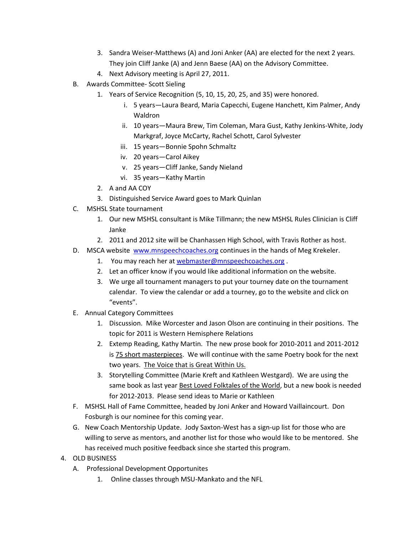- 3. Sandra Weiser-Matthews (A) and Joni Anker (AA) are elected for the next 2 years. They join Cliff Janke (A) and Jenn Baese (AA) on the Advisory Committee.
- 4. Next Advisory meeting is April 27, 2011.
- B. Awards Committee- Scott Sieling
	- 1. Years of Service Recognition (5, 10, 15, 20, 25, and 35) were honored.
		- i. 5 years—Laura Beard, Maria Capecchi, Eugene Hanchett, Kim Palmer, Andy Waldron
		- ii. 10 years—Maura Brew, Tim Coleman, Mara Gust, Kathy Jenkins-White, Jody Markgraf, Joyce McCarty, Rachel Schott, Carol Sylvester
		- iii. 15 years—Bonnie Spohn Schmaltz
		- iv. 20 years—Carol Aikey
		- v. 25 years—Cliff Janke, Sandy Nieland
		- vi. 35 years—Kathy Martin
	- 2. A and AA COY
	- 3. Distinguished Service Award goes to Mark Quinlan
- C. MSHSL State tournament
	- 1. Our new MSHSL consultant is Mike Tillmann; the new MSHSL Rules Clinician is Cliff Janke
	- 2. 2011 and 2012 site will be Chanhassen High School, with Travis Rother as host.
- D. MSCA website [www.mnspeechcoaches.org](http://www.mnspeechcoaches.org/) continues in the hands of Meg Krekeler.
	- 1. You may reach her at [webmaster@mnspeechcoaches.org](mailto:webmaster@mnspeechcoaches.org).
	- 2. Let an officer know if you would like additional information on the website.
	- 3. We urge all tournament managers to put your tourney date on the tournament calendar. To view the calendar or add a tourney, go to the website and click on "events".
- E. Annual Category Committees
	- 1. Discussion. Mike Worcester and Jason Olson are continuing in their positions. The topic for 2011 is Western Hemisphere Relations
	- 2. Extemp Reading, Kathy Martin. The new prose book for 2010-2011 and 2011-2012 is 75 short masterpieces. We will continue with the same Poetry book for the next two years. The Voice that is Great Within Us.
	- 3. Storytelling Committee (Marie Kreft and Kathleen Westgard). We are using the same book as last year Best Loved Folktales of the World, but a new book is needed for 2012-2013. Please send ideas to Marie or Kathleen
- F. MSHSL Hall of Fame Committee, headed by Joni Anker and Howard Vaillaincourt. Don Fosburgh is our nominee for this coming year.
- G. New Coach Mentorship Update. Jody Saxton-West has a sign-up list for those who are willing to serve as mentors, and another list for those who would like to be mentored. She has received much positive feedback since she started this program.
- 4. OLD BUSINESS
	- A. Professional Development Opportunites
		- 1. Online classes through MSU-Mankato and the NFL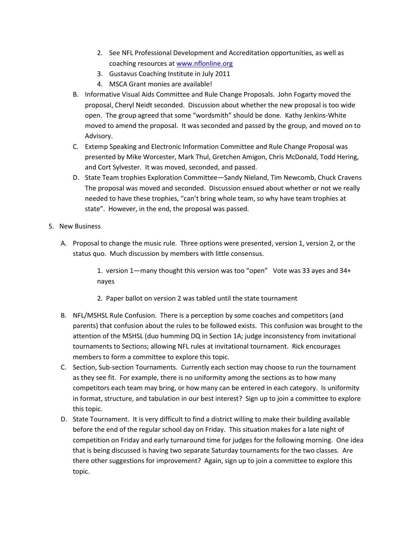- 2. See NFL Professional Development and Accreditation opportunities, as well as coaching resources a[t www.nflonline.org](http://www.nflonline.org/)
- 3. Gustavus Coaching Institute in July 2011
- 4. MSCA Grant monies are available!
- B. Informative Visual Aids Committee and Rule Change Proposals. John Fogarty moved the proposal, Cheryl Neidt seconded. Discussion about whether the new proposal is too wide open. The group agreed that some "wordsmith" should be done. Kathy Jenkins-White moved to amend the proposal. It was seconded and passed by the group, and moved on to Advisory.
- C. Extemp Speaking and Electronic Information Committee and Rule Change Proposal was presented by Mike Worcester, Mark Thul, Gretchen Amigon, Chris McDonald, Todd Hering, and Cort Sylvester. It was moved, seconded, and passed.
- D. State Team trophies Exploration Committee—Sandy Nieland, Tim Newcomb, Chuck Cravens The proposal was moved and seconded. Discussion ensued about whether or not we really needed to have these trophies, "can't bring whole team, so why have team trophies at state". However, in the end, the proposal was passed.
- 5. New Business
	- A. Proposal to change the music rule. Three options were presented, version 1, version 2, or the status quo. Much discussion by members with little consensus.

1. version 1—many thought this version was too "open" Vote was 33 ayes and 34+ nayes

- 2. Paper ballot on version 2 was tabled until the state tournament
- B. NFL/MSHSL Rule Confusion. There is a perception by some coaches and competitors (and parents) that confusion about the rules to be followed exists. This confusion was brought to the attention of the MSHSL (duo humming DQ in Section 1A; judge inconsistency from invitational tournaments to Sections; allowing NFL rules at invitational tournament. Rick encourages members to form a committee to explore this topic.
- C. Section, Sub-section Tournaments. Currently each section may choose to run the tournament as they see fit. For example, there is no uniformity among the sections as to how many competitors each team may bring, or how many can be entered in each category. Is uniformity in format, structure, and tabulation in our best interest? Sign up to join a committee to explore this topic.
- D. State Tournament. It is very difficult to find a district willing to make their building available before the end of the regular school day on Friday. This situation makes for a late night of competition on Friday and early turnaround time for judges for the following morning. One idea that is being discussed is having two separate Saturday tournaments for the two classes. Are there other suggestions for improvement? Again, sign up to join a committee to explore this topic.